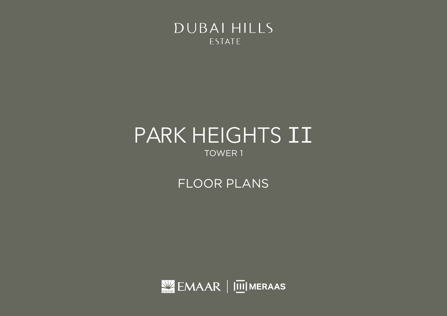

# TOWER 1 PARK HEIGHTS II

FLOOR PLANS

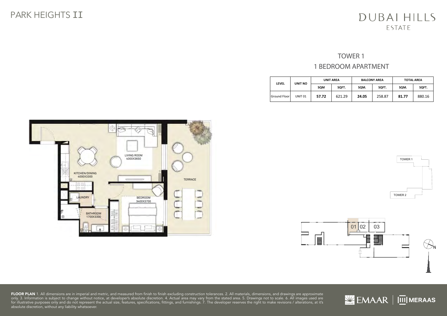#### TOWER 1 1 BEDROOM APARTMENT 1BEDROOM

| <b>LEVEL</b>        | UNIT NO            | <b>UNIT AREA</b> |        | <b>BALCONY AREA</b> |        | <b>TOTAL AREA</b> |        |
|---------------------|--------------------|------------------|--------|---------------------|--------|-------------------|--------|
|                     |                    | SQM              | SQFT.  | SQM.                | SOFT.  | SQM.              | SQFT.  |
| <b>Ground Floor</b> | UNIT <sub>01</sub> | 57.72            | 621.29 | 24.05               | 258.87 | 81.77             | 880.16 |







**FLOOR PLAN** 1. All dimensions are in imperial and metric, and measured from finish to finish excluding construction tolerances. 2. All materials, dimensions, and drawings are approximate<br>only. 3. Information is subject to for illustrative purposes only and do not represent the actual size, features, specifications, fittings, and furnishings. 7. The developer reserves the right to make revisions / alterations, at it's absolute discretion, without any liability whatsoever. **NNIAMER AREA (2008)** The Contract of the Contract of the Contract of Contract Contract of the Contract of the Con

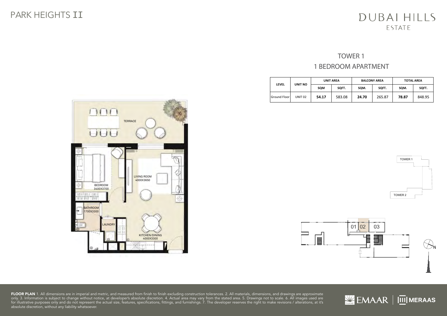#### TOWER 1 1 BEDROOM APARTMENT 1BEDROOM

| <b>LEVEL</b>        | UNIT NO            | <b>UNIT AREA</b> |        | <b>BALCONY AREA</b> |        | <b>TOTAL AREA</b> |        |
|---------------------|--------------------|------------------|--------|---------------------|--------|-------------------|--------|
|                     |                    | SQM              | SQFT.  | SQM.                | SOFT.  | SQM.<br>SOFT.     |        |
| <b>Ground Floor</b> | UNIT <sub>02</sub> | 54.17            | 583.08 | 24.70               | 265.87 | 78.87             | 848.95 |





**FLOOR PLAN** 1. All dimensions are in imperial and metric, and measured from finish to finish excluding construction tolerances. 2. All materials, dimensions, and drawings are approximate<br>only. 3. Information is subject to for illustrative purposes only and do not represent the actual size, features, specifications, fittings, and furnishings. 7. The developer reserves the right to make revisions / alterations, at it's absolute discretion, without any liability whatsoever. **NNIAMER AREA (2008)** The Contract of the Contract of the Contract of Contract Contract of the Contract of the Con 1. All dimensions are in imperial and metric, and measured to structural elements and exclude wall finishes and construction tolerances. 2. All materials, dimensions, and drawings are approximate only. 3. Information is subject to change without notice, at developer's absolute discretion. 4. Actual area may vary from the stated area. 5. Drawings not to scale. 6. All images





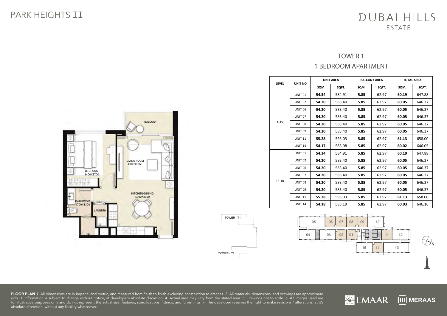#### TOWER 1 1 BEDROOM APARTMENT

| LEVEL    | UNIT NO            |       | <b>UNIT AREA</b> | <b>BALCONY AREA</b> |       | <b>TOTAL AREA</b> |        |
|----------|--------------------|-------|------------------|---------------------|-------|-------------------|--------|
|          |                    | SQM   | SOFT.            | SQM.                | SQFT. | SQM.              | SOFT.  |
|          | UNIT <sub>01</sub> | 54.34 | 584.91           | 5.85                | 62.97 | 60.19             | 647.88 |
|          | UNIT <sub>02</sub> | 54.20 | 583.40           | 5.85                | 62.97 | 60.05             | 646.37 |
|          | <b>UNIT 06</b>     | 54.20 | 583.40           | 5.85                | 62.97 | 60.05             | 646.37 |
|          | UNIT <sub>07</sub> | 54.20 | 583.40           | 5.85                | 62.97 | 60.05             | 646.37 |
| $1 - 15$ | UNIT <sub>08</sub> | 54.20 | 583.40           | 5.85                | 62.97 | 60.05             | 646.37 |
|          | <b>UNIT 09</b>     | 54.20 | 583.40           | 5.85                | 62.97 | 60.05             | 646.37 |
|          | <b>UNIT 11</b>     | 55.28 | 595.03           | 5.85                | 62.97 | 61.13             | 658.00 |
|          | <b>UNIT 14</b>     | 54.17 | 583.08           | 5.85                | 62.97 | 60.02             | 646.05 |
|          | UNIT <sub>01</sub> | 54.34 | 584.91           | 5.85                | 62.97 | 60.19             | 647.88 |
|          | UNIT <sub>02</sub> | 54.20 | 583.40           | 5.85                | 62.97 | 60.05             | 646.37 |
|          | UNIT 06            | 54.20 | 583.40           | 5.85                | 62.97 | 60.05             | 646.37 |
|          | UNIT <sub>07</sub> | 54.20 | 583.40           | 5.85                | 62.97 | 60.05             | 646.37 |
| 16-18    | UNIT <sub>08</sub> | 54.20 | 583.40           | 5.85                | 62.97 | 60.05             | 646.37 |
|          | <b>UNIT 09</b>     | 54.20 | 583.40           | 5.85                | 62.97 | 60.05             | 646.37 |
|          | <b>UNIT 11</b>     | 55.28 | 595.03           | 5.85                | 62.97 | 61.13             | 658.00 |
|          | <b>UNIT 14</b>     | 54.18 | 583.19           | 5.85                | 62.97 | 60.03             | 646.16 |



1. All dimensions are in imperial and metric, and measured to structural elements and exclude wall finishes and construction tolerances. 2. All materials, dimensions, and drawings are approximate only. 3. Information is subject to change without notice, at developer's absolute discretion. 4. Actual area may vary from the stated area. 5. Drawings not to scale. 6. All images



**FLOOR PLAN** 1. All dimensions are in imperial and metric, and measured from finish to finish excluding construction tolerances. 2. All materials, dimensions, and drawings are approximate<br>only. 3. Information is subject to for illustrative purposes only and do not represent the actual size, features, specifications, fittings, and furnishings. 7. The developer reserves the right to make revisions / alterations, at it's absolute discretion, without any liability whatsoever. abboard discretion, ministrany ministerior.



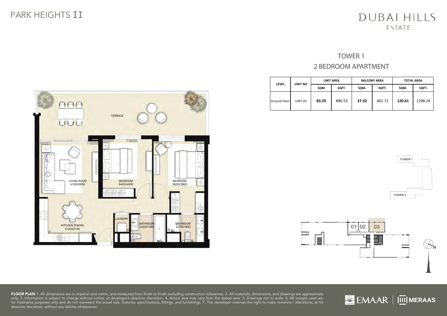## **TOWER 1** 2 BEDROOM APARTMENT 2BEDROOM

| <b>LEVEL</b> | <b>UNIT NO</b>     |       | <b>UNIT AREA</b><br><b>BALCONY AREA</b> |       | <b>TOTAL AREA</b> |        |         |
|--------------|--------------------|-------|-----------------------------------------|-------|-------------------|--------|---------|
|              |                    | SQM   | SQFT.                                   | SQM.  | SQFT.             | SQM.   | SQFT.   |
| Ground Floor | UNIT <sub>03</sub> | 83.29 | 896.53                                  | 37.32 | 401.71            | 120.61 | 1298.24 |





**FLOOR PLAN** 1. All dimensions are in imperial and metric, and measured from finish to finish excluding construction tolerances. 2. All materials, dimensions, and drawings are approximate<br>only. 3. Information is subject to for illustrative purposes only and do not represent the actual size, features, specifications, fittings, and furnishings. 7. The developer reserves the right to make revisions / alterations, at it's absolute discretion, without any liability whatsoever. **NNIAMER AREA (2008)** The Contract of the Contract of the Contract of Contract Contract of the Contract of the Con 1. All dimensions are in imperial and metric, and measured to structural elements and exclude wall finishes and construction tolerances. 2. All materials, dimensions, and drawings are approximate only. 3. Information is subject to change without notice, at developer's absolute discretion. 4. Actual area may vary from the stated area. 5. Drawings not to scale. 6. All images



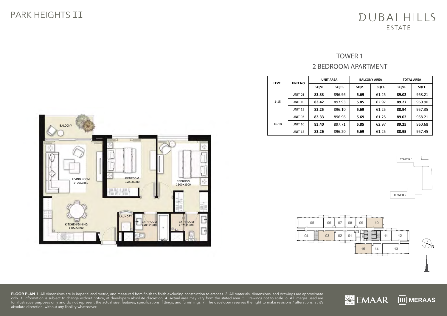#### TOWER 1 2 BEDROOM APARTMENT

| <b>LEVEL</b> | <b>UNIT NO</b>     | <b>UNIT AREA</b> |        | <b>BALCONY AREA</b> |       | <b>TOTAL AREA</b> |        |
|--------------|--------------------|------------------|--------|---------------------|-------|-------------------|--------|
|              |                    | SQM              | SQFT.  | SQM.                | SQFT. | SQM.              | SQFT.  |
|              | UNIT <sub>03</sub> | 83.33            | 896.96 | 5.69                | 61.25 | 89.02             | 958.21 |
| $1 - 15$     | <b>UNIT 10</b>     | 83.42            | 897.93 | 5.85                | 62.97 | 89.27             | 960.90 |
|              | <b>UNIT 15</b>     | 83.25            | 896.10 | 5.69                | 61.25 | 88.94             | 957.35 |
| 16-18        | UNIT <sub>03</sub> | 83.33            | 896.96 | 5.69                | 61.25 | 89.02             | 958.21 |
|              | <b>UNIT 10</b>     | 83.40            | 897.71 | 5.85                | 62.97 | 89.25             | 960.68 |
|              | <b>UNIT 15</b>     | 83.26            | 896.20 | 5.69                | 61.25 | 88.95             | 957.45 |





**FLOOR PLAN** 1. All dimensions are in imperial and metric, and measured from finish to finish excluding construction tolerances. 2. All materials, dimensions, and drawings are approximate<br>only. 3. Information is subject to for illustrative purposes only and do not represent the actual size, features, specifications, fittings, and furnishings. 7. The developer reserves the right to make revisions / alterations, at it's absolute discretion, without any liability whatsoever. 1. All dimensions are in imperial and metric, and measured to structural elements and exclude wall finishes and construction tolerances. 2. All materials, dimensions, and drawings are approximate only. 3. Information is subject to change without notice, at developer's absolute discretion. 4. Actual area may vary from the stated area. 5. Drawings not to scale. 6. All images



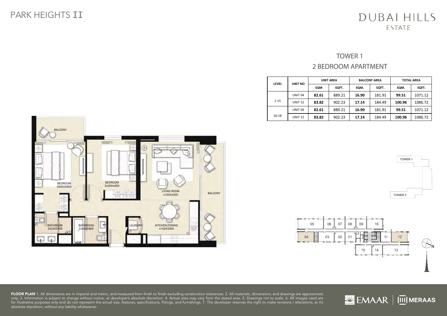#### TOWER 1 2 BEDROOM APARTMENT

| <b>LEVEL</b> | <b>UNIT NO</b>     | <b>UNIT AREA</b> |        | <b>BALCONY AREA</b> |        | <b>TOTAL AREA</b> |         |
|--------------|--------------------|------------------|--------|---------------------|--------|-------------------|---------|
|              |                    | SQM              | SQFT.  | SQM.                | SQFT.  | SQM.              | SQFT.   |
|              | UNIT <sub>04</sub> | 82.61            | 889.21 | 16.90               | 181.91 | 99.51             | 1071.12 |
| $1 - 15$     | <b>UNIT 12</b>     | 83.82            | 902.23 | 17.14               | 184.49 | 100.96            | 1086.72 |
|              | UNIT <sub>04</sub> | 82.61            | 889.21 | 16.90               | 181.91 | 99.51             | 1071.12 |
| $16 - 18$    | <b>UNIT 12</b>     | 83.82            | 902.23 | 17.14               | 184.49 | 100.96            | 1086.72 |









 $M$  EMAAR  $\vert \overline{\text{III}} \vert$  MERAAS